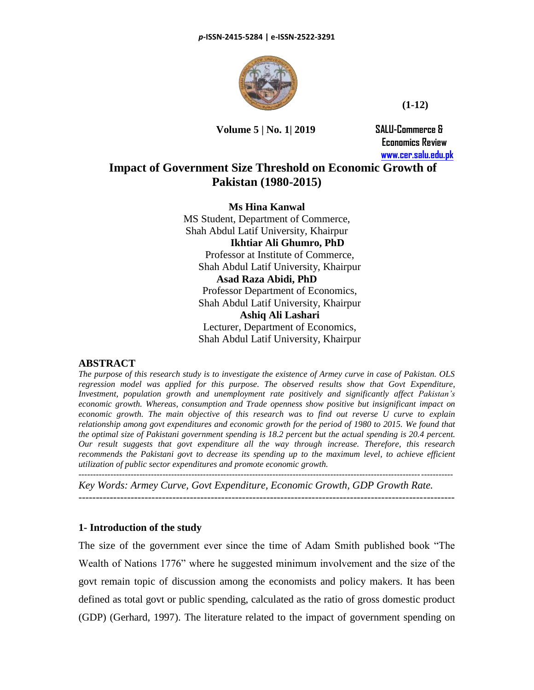

**(1-12)**

**Volume 5 | No. 1| 2019 SALU-Commerce &**

 **Economics Review [www.cer.salu.edu.pk](http://www.cer.salu.edu.pk/)**

# **Impact of Government Size Threshold on Economic Growth of Pakistan (1980-2015)**

**Ms Hina Kanwal** MS Student, Department of Commerce, Shah Abdul Latif University, Khairpur **Ikhtiar Ali Ghumro, PhD** Professor at Institute of Commerce, Shah Abdul Latif University, Khairpur **Asad Raza Abidi, PhD** Professor Department of Economics, Shah Abdul Latif University, Khairpur **Ashiq Ali Lashari** Lecturer, Department of Economics, Shah Abdul Latif University, Khairpur

## **ABSTRACT**

*The purpose of this research study is to investigate the existence of Armey curve in case of Pakistan. OLS regression model was applied for this purpose. The observed results show that Govt Expenditure, Investment, population growth and unemployment rate positively and significantly affect Pakistan's economic growth. Whereas, consumption and Trade openness show positive but insignificant impact on economic growth. The main objective of this research was to find out reverse U curve to explain relationship among govt expenditures and economic growth for the period of 1980 to 2015. We found that the optimal size of Pakistani government spending is 18.2 percent but the actual spending is 20.4 percent. Our result suggests that govt expenditure all the way through increase. Therefore, this research recommends the Pakistani govt to decrease its spending up to the maximum level, to achieve efficient utilization of public sector expenditures and promote economic growth. ---------------------------------------------------------------------------------------------------------------------------------*

*Key Words: Armey Curve, Govt Expenditure, Economic Growth, GDP Growth Rate. ------------------------------------------------------------------------------------------------------------*

## **1- Introduction of the study**

The size of the government ever since the time of Adam Smith published book "The Wealth of Nations 1776" where he suggested minimum involvement and the size of the govt remain topic of discussion among the economists and policy makers. It has been defined as total govt or public spending, calculated as the ratio of gross domestic product (GDP) (Gerhard, 1997). The literature related to the impact of government spending on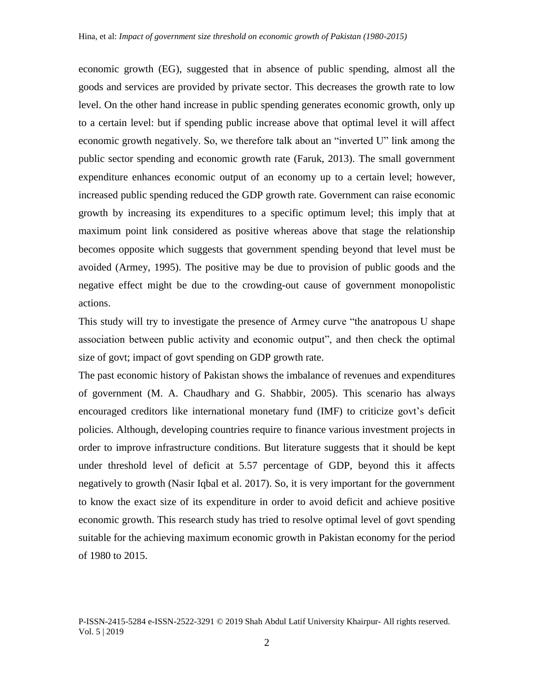economic growth (EG), suggested that in absence of public spending, almost all the goods and services are provided by private sector. This decreases the growth rate to low level. On the other hand increase in public spending generates economic growth, only up to a certain level: but if spending public increase above that optimal level it will affect economic growth negatively. So, we therefore talk about an "inverted U" link among the public sector spending and economic growth rate (Faruk, 2013). The small government expenditure enhances economic output of an economy up to a certain level; however, increased public spending reduced the GDP growth rate. Government can raise economic growth by increasing its expenditures to a specific optimum level; this imply that at maximum point link considered as positive whereas above that stage the relationship becomes opposite which suggests that government spending beyond that level must be avoided (Armey, 1995). The positive may be due to provision of public goods and the negative effect might be due to the crowding-out cause of government monopolistic actions.

This study will try to investigate the presence of Armey curve "the anatropous U shape association between public activity and economic output", and then check the optimal size of govt; impact of govt spending on GDP growth rate.

The past economic history of Pakistan shows the imbalance of revenues and expenditures of government (M. A. Chaudhary and G. Shabbir, 2005). This scenario has always encouraged creditors like international monetary fund (IMF) to criticize govt's deficit policies. Although, developing countries require to finance various investment projects in order to improve infrastructure conditions. But literature suggests that it should be kept under threshold level of deficit at 5.57 percentage of GDP, beyond this it affects negatively to growth (Nasir Iqbal et al. 2017). So, it is very important for the government to know the exact size of its expenditure in order to avoid deficit and achieve positive economic growth. This research study has tried to resolve optimal level of govt spending suitable for the achieving maximum economic growth in Pakistan economy for the period of 1980 to 2015.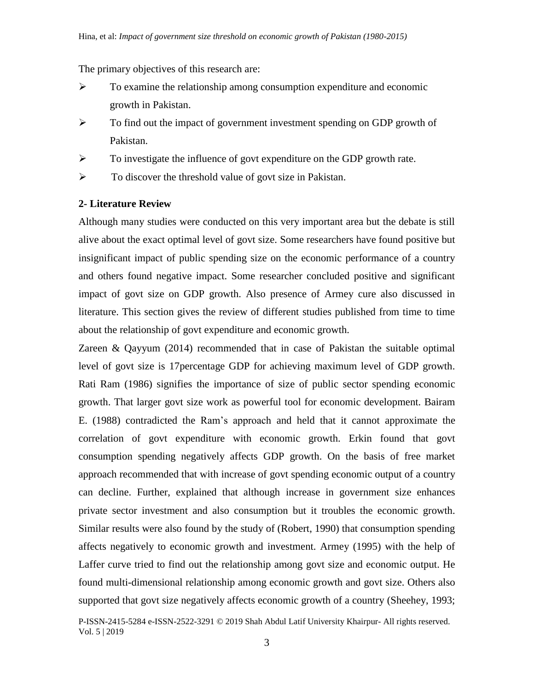The primary objectives of this research are:

- $\triangleright$  To examine the relationship among consumption expenditure and economic growth in Pakistan.
- $\triangleright$  To find out the impact of government investment spending on GDP growth of Pakistan.
- $\triangleright$  To investigate the influence of govt expenditure on the GDP growth rate.
- $\triangleright$  To discover the threshold value of govt size in Pakistan.

## **2- Literature Review**

Although many studies were conducted on this very important area but the debate is still alive about the exact optimal level of govt size. Some researchers have found positive but insignificant impact of public spending size on the economic performance of a country and others found negative impact. Some researcher concluded positive and significant impact of govt size on GDP growth. Also presence of Armey cure also discussed in literature. This section gives the review of different studies published from time to time about the relationship of govt expenditure and economic growth.

Zareen & Qayyum (2014) recommended that in case of Pakistan the suitable optimal level of govt size is 17percentage GDP for achieving maximum level of GDP growth. Rati Ram (1986) signifies the importance of size of public sector spending economic growth. That larger govt size work as powerful tool for economic development. Bairam E. (1988) contradicted the Ram's approach and held that it cannot approximate the correlation of govt expenditure with economic growth. Erkin found that govt consumption spending negatively affects GDP growth. On the basis of free market approach recommended that with increase of govt spending economic output of a country can decline. Further, explained that although increase in government size enhances private sector investment and also consumption but it troubles the economic growth. Similar results were also found by the study of (Robert, 1990) that consumption spending affects negatively to economic growth and investment. Armey (1995) with the help of Laffer curve tried to find out the relationship among govt size and economic output. He found multi-dimensional relationship among economic growth and govt size. Others also supported that govt size negatively affects economic growth of a country (Sheehey, 1993;

P-ISSN-2415-5284 e-ISSN-2522-3291 © 2019 Shah Abdul Latif University Khairpur- All rights reserved. Vol. 5 | 2019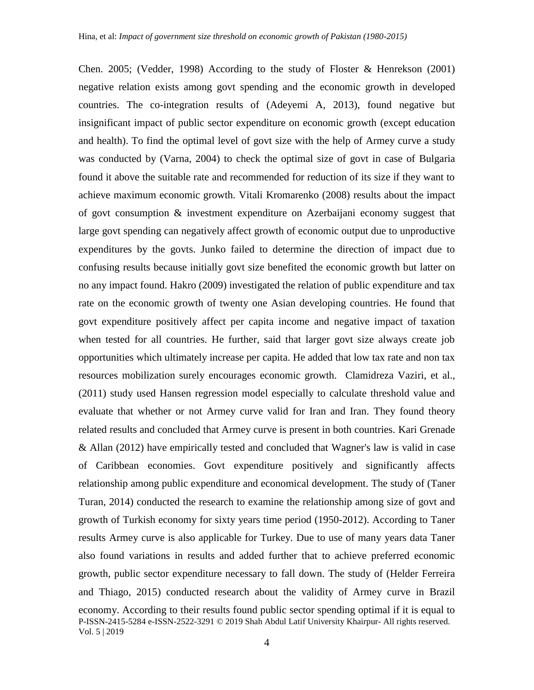P-ISSN-2415-5284 e-ISSN-2522-3291 © 2019 Shah Abdul Latif University Khairpur- All rights reserved. Vol. 5 | 2019 Chen. 2005; (Vedder, 1998) According to the study of Floster & Henrekson (2001) negative relation exists among govt spending and the economic growth in developed countries. The co-integration results of (Adeyemi A, 2013), found negative but insignificant impact of public sector expenditure on economic growth (except education and health). To find the optimal level of govt size with the help of Armey curve a study was conducted by (Varna, 2004) to check the optimal size of govt in case of Bulgaria found it above the suitable rate and recommended for reduction of its size if they want to achieve maximum economic growth. Vitali Kromarenko (2008) results about the impact of govt consumption & investment expenditure on Azerbaijani economy suggest that large govt spending can negatively affect growth of economic output due to unproductive expenditures by the govts. Junko failed to determine the direction of impact due to confusing results because initially govt size benefited the economic growth but latter on no any impact found. Hakro (2009) investigated the relation of public expenditure and tax rate on the economic growth of twenty one Asian developing countries. He found that govt expenditure positively affect per capita income and negative impact of taxation when tested for all countries. He further, said that larger govt size always create job opportunities which ultimately increase per capita. He added that low tax rate and non tax resources mobilization surely encourages economic growth. Clamidreza Vaziri, et al., (2011) study used Hansen regression model especially to calculate threshold value and evaluate that whether or not Armey curve valid for Iran and Iran. They found theory related results and concluded that Armey curve is present in both countries. Kari Grenade & Allan (2012) have empirically tested and concluded that Wagner's law is valid in case of Caribbean economies. Govt expenditure positively and significantly affects relationship among public expenditure and economical development. The study of (Taner Turan, 2014) conducted the research to examine the relationship among size of govt and growth of Turkish economy for sixty years time period (1950-2012). According to Taner results Armey curve is also applicable for Turkey. Due to use of many years data Taner also found variations in results and added further that to achieve preferred economic growth, public sector expenditure necessary to fall down. The study of (Helder Ferreira and Thiago, 2015) conducted research about the validity of Armey curve in Brazil economy. According to their results found public sector spending optimal if it is equal to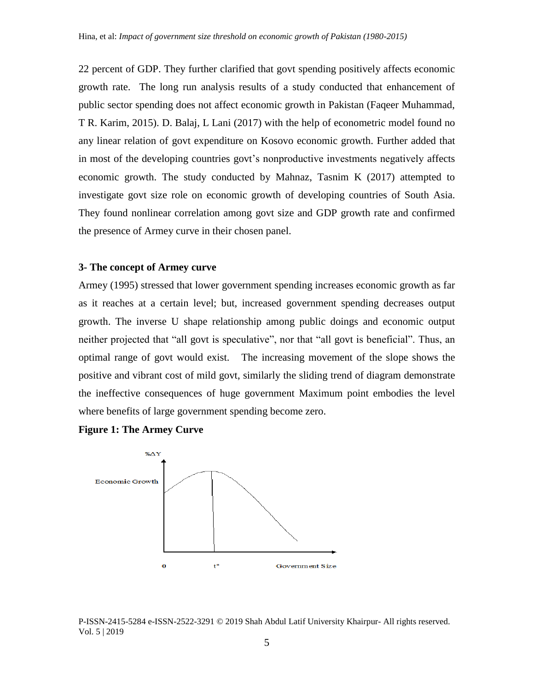22 percent of GDP. They further clarified that govt spending positively affects economic growth rate. The long run analysis results of a study conducted that enhancement of public sector spending does not affect economic growth in Pakistan (Faqeer Muhammad, T R. Karim, 2015). D. Balaj, L Lani (2017) with the help of econometric model found no any linear relation of govt expenditure on Kosovo economic growth. Further added that in most of the developing countries govt's nonproductive investments negatively affects economic growth. The study conducted by Mahnaz, Tasnim K (2017) attempted to investigate govt size role on economic growth of developing countries of South Asia. They found nonlinear correlation among govt size and GDP growth rate and confirmed the presence of Armey curve in their chosen panel.

#### **3- The concept of Armey curve**

Armey (1995) stressed that lower government spending increases economic growth as far as it reaches at a certain level; but, increased government spending decreases output growth. The inverse U shape relationship among public doings and economic output neither projected that "all govt is speculative", nor that "all govt is beneficial". Thus, an optimal range of govt would exist. The increasing movement of the slope shows the positive and vibrant cost of mild govt, similarly the sliding trend of diagram demonstrate the ineffective consequences of huge government Maximum point embodies the level where benefits of large government spending become zero.

## **Figure 1: The Armey Curve**



P-ISSN-2415-5284 e-ISSN-2522-3291 © 2019 Shah Abdul Latif University Khairpur- All rights reserved. Vol. 5 | 2019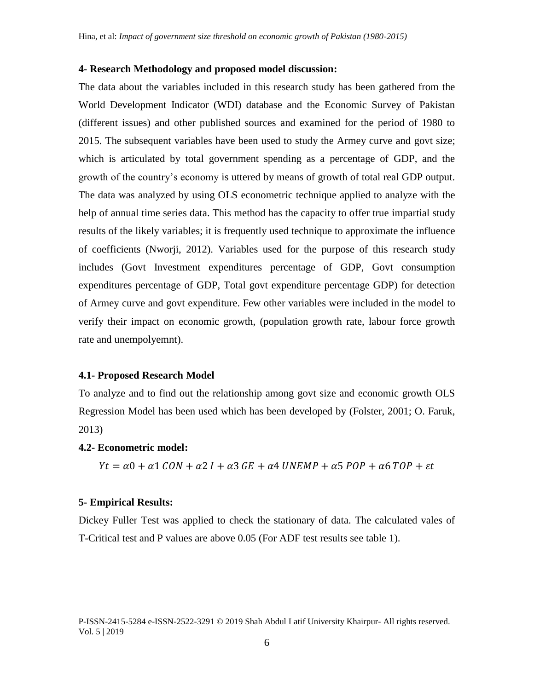#### **4- Research Methodology and proposed model discussion:**

The data about the variables included in this research study has been gathered from the World Development Indicator (WDI) database and the Economic Survey of Pakistan (different issues) and other published sources and examined for the period of 1980 to 2015. The subsequent variables have been used to study the Armey curve and govt size; which is articulated by total government spending as a percentage of GDP, and the growth of the country's economy is uttered by means of growth of total real GDP output. The data was analyzed by using OLS econometric technique applied to analyze with the help of annual time series data. This method has the capacity to offer true impartial study results of the likely variables; it is frequently used technique to approximate the influence of coefficients (Nworji, 2012). Variables used for the purpose of this research study includes (Govt Investment expenditures percentage of GDP, Govt consumption expenditures percentage of GDP, Total govt expenditure percentage GDP) for detection of Armey curve and govt expenditure. Few other variables were included in the model to verify their impact on economic growth, (population growth rate, labour force growth rate and unempolyemnt).

#### **4.1- Proposed Research Model**

To analyze and to find out the relationship among govt size and economic growth OLS Regression Model has been used which has been developed by (Folster, 2001; O. Faruk, 2013)

## **4.2- Econometric model:**

 $Yt = \alpha 0 + \alpha 1$  CON  $\alpha + \alpha 2 I + \alpha 3$  GE  $\alpha + \alpha 4$  UNEMP  $\alpha + \alpha 5$  POP  $\alpha + \alpha 6$  TOP  $\alpha + \alpha 6 I$ 

## **5- Empirical Results:**

Dickey Fuller Test was applied to check the stationary of data. The calculated vales of T-Critical test and P values are above 0.05 (For ADF test results see table 1).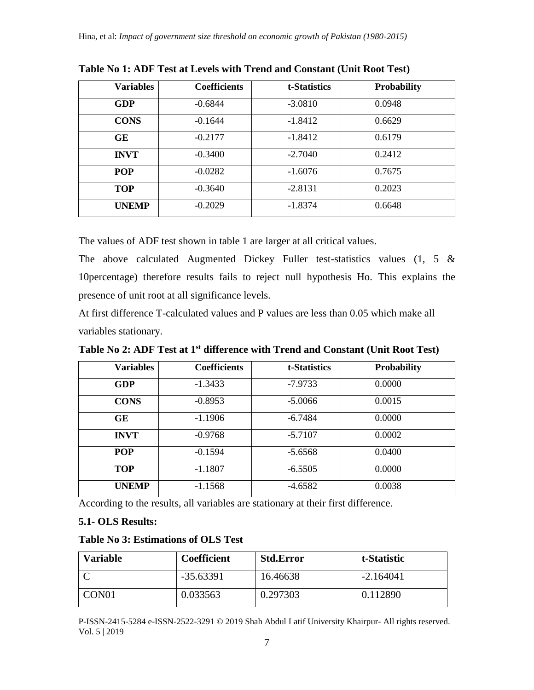| <b>Variables</b> | <b>Coefficients</b> | t-Statistics | <b>Probability</b> |
|------------------|---------------------|--------------|--------------------|
| GDP              | $-0.6844$           | $-3.0810$    | 0.0948             |
| <b>CONS</b>      | $-0.1644$           | $-1.8412$    | 0.6629             |
| <b>GE</b>        | $-0.2177$           | $-1.8412$    | 0.6179             |
| <b>INVT</b>      | $-0.3400$           | $-2.7040$    | 0.2412             |
| <b>POP</b>       | $-0.0282$           | $-1.6076$    | 0.7675             |
| <b>TOP</b>       | $-0.3640$           | $-2.8131$    | 0.2023             |
| <b>UNEMP</b>     | $-0.2029$           | $-1.8374$    | 0.6648             |

**Table No 1: ADF Test at Levels with Trend and Constant (Unit Root Test)** 

The values of ADF test shown in table 1 are larger at all critical values.

The above calculated Augmented Dickey Fuller test-statistics values  $(1, 5 \&$ 10percentage) therefore results fails to reject null hypothesis Ho. This explains the presence of unit root at all significance levels.

At first difference T-calculated values and P values are less than 0.05 which make all variables stationary.

Table No 2: ADF Test at 1<sup>st</sup> difference with Trend and Constant (Unit Root Test)

| <b>Variables</b> | <b>Coefficients</b> | t-Statistics | <b>Probability</b> |
|------------------|---------------------|--------------|--------------------|
| <b>GDP</b>       | $-1.3433$           | $-7.9733$    | 0.0000             |
| <b>CONS</b>      | $-0.8953$           | $-5.0066$    | 0.0015             |
| <b>GE</b>        | $-1.1906$           | $-6.7484$    | 0.0000             |
| <b>INVT</b>      | $-0.9768$           | $-5.7107$    | 0.0002             |
| <b>POP</b>       | $-0.1594$           | $-5.6568$    | 0.0400             |
| <b>TOP</b>       | $-1.1807$           | $-6.5505$    | 0.0000             |
| <b>UNEMP</b>     | $-1.1568$           | $-4.6582$    | 0.0038             |

According to the results, all variables are stationary at their first difference.

## **5.1- OLS Results:**

## **Table No 3: Estimations of OLS Test**

| <b>Variable</b>   | Coefficient | <b>Std.Error</b> | t-Statistic |
|-------------------|-------------|------------------|-------------|
|                   | -35.63391   | 16.46638         | $-2.164041$ |
| CON <sub>01</sub> | 0.033563    | 0.297303         | 0.112890    |

P-ISSN-2415-5284 e-ISSN-2522-3291 © 2019 Shah Abdul Latif University Khairpur- All rights reserved. Vol. 5 | 2019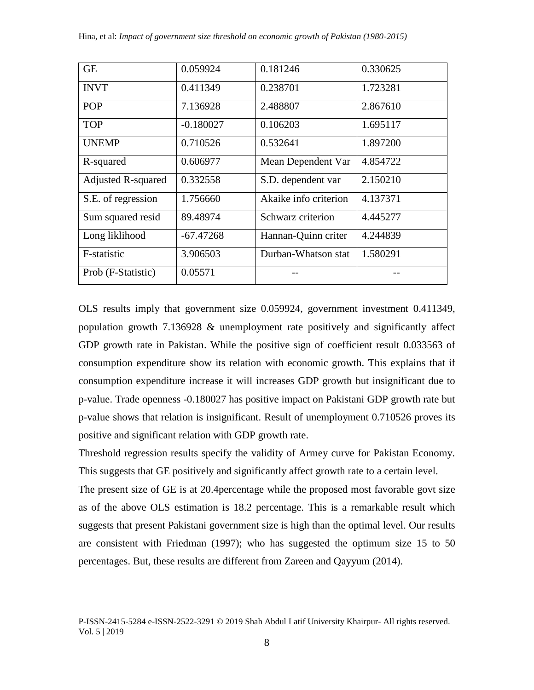Hina, et al: *Impact of government size threshold on economic growth of Pakistan (1980-2015)*

| <b>GE</b>                 | 0.059924    | 0.181246              | 0.330625 |
|---------------------------|-------------|-----------------------|----------|
| <b>INVT</b>               | 0.411349    | 0.238701              | 1.723281 |
| <b>POP</b>                | 7.136928    | 2.488807              | 2.867610 |
| <b>TOP</b>                | $-0.180027$ | 0.106203              | 1.695117 |
| <b>UNEMP</b>              | 0.710526    | 0.532641              | 1.897200 |
| R-squared                 | 0.606977    | Mean Dependent Var    | 4.854722 |
| <b>Adjusted R-squared</b> | 0.332558    | S.D. dependent var    | 2.150210 |
| S.E. of regression        | 1.756660    | Akaike info criterion | 4.137371 |
| Sum squared resid         | 89.48974    | Schwarz criterion     | 4.445277 |
| Long liklihood            | $-67.47268$ | Hannan-Quinn criter   | 4.244839 |
| F-statistic               | 3.906503    | Durban-Whatson stat   | 1.580291 |
| Prob (F-Statistic)        | 0.05571     |                       |          |

OLS results imply that government size 0.059924, government investment 0.411349, population growth 7.136928 & unemployment rate positively and significantly affect GDP growth rate in Pakistan. While the positive sign of coefficient result 0.033563 of consumption expenditure show its relation with economic growth. This explains that if consumption expenditure increase it will increases GDP growth but insignificant due to p-value. Trade openness -0.180027 has positive impact on Pakistani GDP growth rate but p-value shows that relation is insignificant. Result of unemployment 0.710526 proves its positive and significant relation with GDP growth rate.

Threshold regression results specify the validity of Armey curve for Pakistan Economy. This suggests that GE positively and significantly affect growth rate to a certain level.

The present size of GE is at 20.4percentage while the proposed most favorable govt size as of the above OLS estimation is 18.2 percentage. This is a remarkable result which suggests that present Pakistani government size is high than the optimal level. Our results are consistent with Friedman (1997); who has suggested the optimum size 15 to 50 percentages. But, these results are different from Zareen and Qayyum (2014).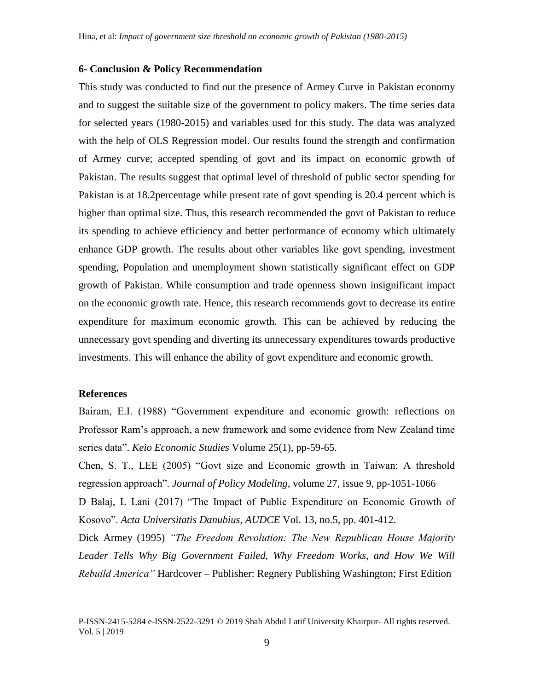#### **6- Conclusion & Policy Recommendation**

This study was conducted to find out the presence of Armey Curve in Pakistan economy and to suggest the suitable size of the government to policy makers. The time series data for selected years (1980-2015) and variables used for this study. The data was analyzed with the help of OLS Regression model. Our results found the strength and confirmation of Armey curve; accepted spending of govt and its impact on economic growth of Pakistan. The results suggest that optimal level of threshold of public sector spending for Pakistan is at 18.2percentage while present rate of govt spending is 20.4 percent which is higher than optimal size. Thus, this research recommended the govt of Pakistan to reduce its spending to achieve efficiency and better performance of economy which ultimately enhance GDP growth. The results about other variables like govt spending, investment spending, Population and unemployment shown statistically significant effect on GDP growth of Pakistan. While consumption and trade openness shown insignificant impact on the economic growth rate. Hence, this research recommends govt to decrease its entire expenditure for maximum economic growth. This can be achieved by reducing the unnecessary govt spending and diverting its unnecessary expenditures towards productive investments. This will enhance the ability of govt expenditure and economic growth.

#### **References**

Bairam, E.I. (1988) "Government expenditure and economic growth: reflections on Professor Ram's approach, a new framework and some evidence from New Zealand time series data". *Keio Economic Studies* Volume 25(1), pp-59-65.

Chen, S. T., LEE (2005) "Govt size and Economic growth in Taiwan: A threshold regression approach". *Journal of Policy Modeling*, volume 27, issue 9, pp-1051-1066 D Balaj, L Lani (2017) "The Impact of Public Expenditure on Economic Growth of Kosovo". *Acta Universitatis Danubius, AUDCE* Vol. 13, no.5, pp. 401-412.

Dick Armey (1995) *"The Freedom Revolution: The New Republican House Majority*  Leader Tells Why Big Government Failed, Why Freedom Works, and How We Will *Rebuild America"* Hardcover – Publisher: Regnery Publishing Washington; First Edition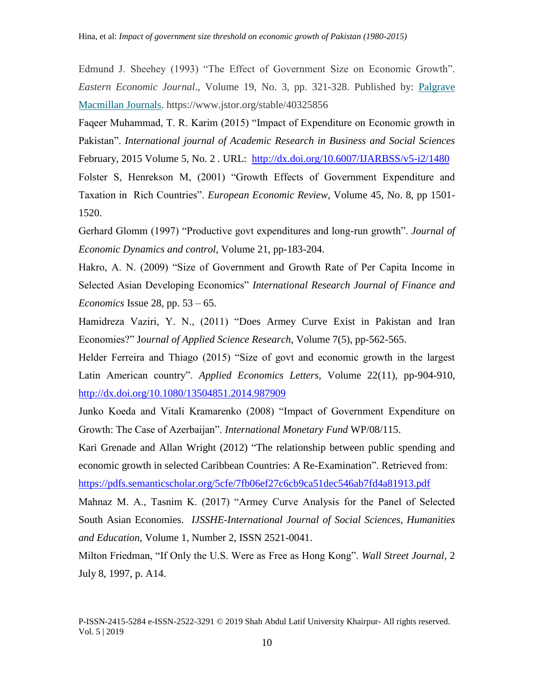Edmund J. Sheehey (1993) "The Effect of Government Size on Economic Growth". *Eastern Economic Journal*., Volume 19, No. 3, pp. 321-328. Published by: [Palgrave](https://www.jstor.org/publisher/pal)  [Macmillan Journals.](https://www.jstor.org/publisher/pal) https://www.jstor.org/stable/40325856

Faqeer Muhammad, T. R. Karim (2015) "Impact of Expenditure on Economic growth in Pakistan". *International journal of Academic Research in Business and Social Sciences*  February, 2015 Volume 5, No. 2 *.* URL: <http://dx.doi.org/10.6007/IJARBSS/v5-i2/1480> Folster S, Henrekson M, (2001) "Growth Effects of Government Expenditure and Taxation in Rich Countries". *European Economic Review*, Volume 45, No. 8, pp 1501-

1520.

Gerhard Glomm (1997) "Productive govt expenditures and long-run growth". *Journal of Economic Dynamics and control*, Volume 21, pp-183-204.

Hakro, A. N. (2009) "Size of Government and Growth Rate of Per Capita Income in Selected Asian Developing Economics" *International Research Journal of Finance and Economics* Issue 28, pp. 53 – 65.

Hamidreza Vaziri, Y. N., (2011) "Does Armey Curve Exist in Pakistan and Iran Economies?" J*ournal of Applied Science Research,* Volume 7(5), pp-562-565.

Helder Ferreira and Thiago (2015) "Size of govt and economic growth in the largest Latin American country". *Applied Economics Letters,* Volume 22(11), pp-904-910, <http://dx.doi.org/10.1080/13504851.2014.987909>

Junko Koeda and Vitali Kramarenko (2008) "Impact of Government Expenditure on Growth: The Case of Azerbaijan". *International Monetary Fund* WP/08/115.

Kari Grenade and Allan Wright (2012) "The relationship between public spending and economic growth in selected Caribbean Countries: A Re-Examination". Retrieved from:

<https://pdfs.semanticscholar.org/5cfe/7fb06ef27c6cb9ca51dec546ab7fd4a81913.pdf>

Mahnaz M. A., Tasnim K. (2017) "Armey Curve Analysis for the Panel of Selected South Asian Economies. *IJSSHE-International Journal of Social Sciences, Humanities and Education*, Volume 1, Number 2, ISSN 2521-0041.

Milton Friedman, "If Only the U.S. Were as Free as Hong Kong". *Wall Street Journal*, 2 July 8, 1997, p. A14.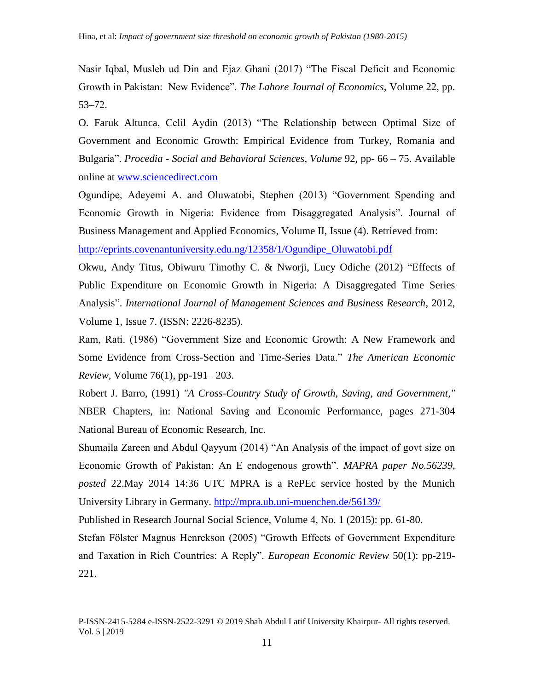Nasir Iqbal, Musleh ud Din and Ejaz Ghani (2017) "The Fiscal Deficit and Economic Growth in Pakistan: New Evidence". *The Lahore Journal of Economics,* Volume 22, pp. 53–72.

O. Faruk Altunca, Celil Aydin (2013) "The Relationship between Optimal Size of Government and Economic Growth: Empirical Evidence from Turkey, Romania and Bulgaria". *Procedia* - *Social and Behavioral Sciences, Volume* 92, pp- 66 – 75. Available online at [www.sciencedirect.com](http://www.sciencedirect.com/)

Ogundipe, Adeyemi A. and Oluwatobi, Stephen (2013) "Government Spending and Economic Growth in Nigeria: Evidence from Disaggregated Analysis". Journal of Business Management and Applied Economics, Volume II, Issue (4). Retrieved from: [http://eprints.covenantuniversity.edu.ng/12358/1/Ogundipe\\_Oluwatobi.pdf](http://eprints.covenantuniversity.edu.ng/12358/1/Ogundipe_Oluwatobi.pdf)

Okwu, Andy Titus, Obiwuru Timothy C. & Nworji, Lucy Odiche (2012) "Effects of Public Expenditure on Economic Growth in Nigeria: A Disaggregated Time Series Analysis". *International Journal of Management Sciences and Business Research*, 2012, Volume 1, Issue 7. (ISSN: 2226-8235).

Ram, Rati. (1986) "Government Size and Economic Growth: A New Framework and Some Evidence from Cross-Section and Time-Series Data." *The American Economic Review,* Volume 76(1), pp-191– 203.

Robert J. Barro, (1991) *"A Cross-Country Study of Growth, Saving, and Government,"*  NBER Chapters, in: National Saving and Economic Performance, pages 271-304 National Bureau of Economic Research, Inc.

Shumaila Zareen and Abdul Qayyum (2014) "An Analysis of the impact of govt size on Economic Growth of Pakistan: An E endogenous growth". *MAPRA paper No.56239, posted* 22.May 2014 14:36 UTC MPRA is a RePEc service hosted by the Munich University Library in Germany.<http://mpra.ub.uni-muenchen.de/56139/>

Published in Research Journal Social Science, Volume 4, No. 1 (2015): pp. 61-80.

Stefan Fölster Magnus Henrekson (2005) "Growth Effects of Government Expenditure and Taxation in Rich Countries: A Reply". *European Economic Review* 50(1): pp-219- 221.